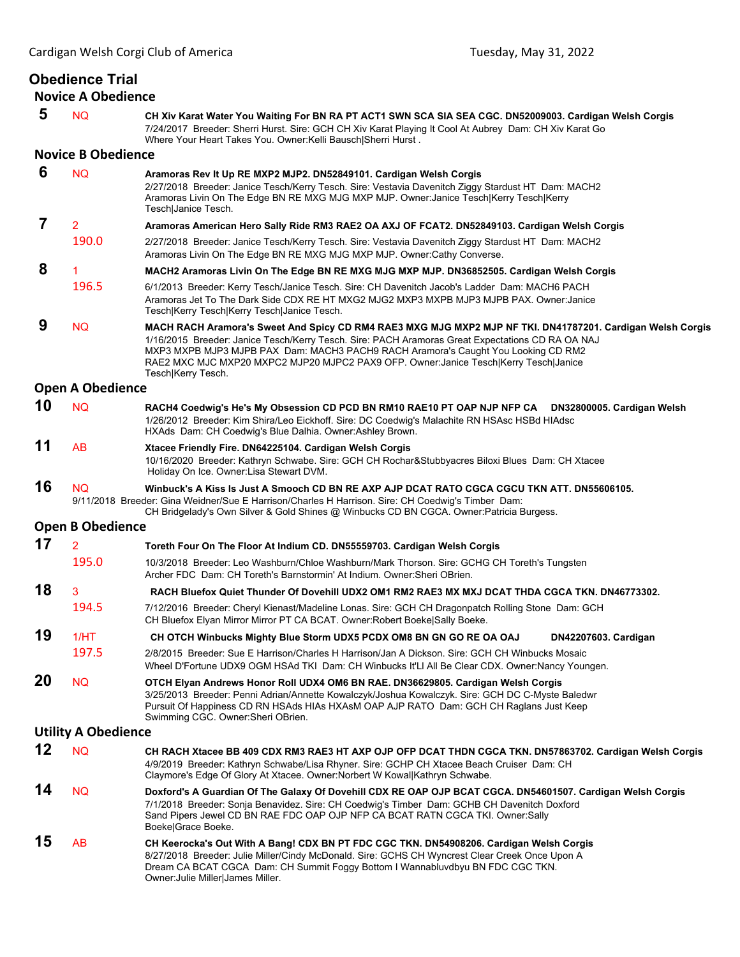## **Obedience Trial**

**Novice A Obedience**

 **5** NQ **CH Xiv Karat Water You Waiting For BN RA PT ACT1 SWN SCA SIA SEA CGC. DN52009003. Cardigan Welsh Corgis** 7/24/2017 Breeder: Sherri Hurst. Sire: GCH CH Xiv Karat Playing It Cool At Aubrey Dam: CH Xiv Karat Go Where Your Heart Takes You. Owner:Kelli Bausch|Sherri Hurst . **Novice B Obedience 6** NQ **Aramoras Rev It Up RE MXP2 MJP2. DN52849101. Cardigan Welsh Corgis** 2/27/2018 Breeder: Janice Tesch/Kerry Tesch. Sire: Vestavia Davenitch Ziggy Stardust HT Dam: MACH2 Aramoras Livin On The Edge BN RE MXG MJG MXP MJP. Owner:Janice Tesch|Kerry Tesch|Kerry Tesch|Janice Tesch.  **7** <sup>2</sup> **Aramoras American Hero Sally Ride RM3 RAE2 OA AXJ OF FCAT2. DN52849103. Cardigan Welsh Corgis** 190.0 2/27/2018 Breeder: Janice Tesch/Kerry Tesch. Sire: Vestavia Davenitch Ziggy Stardust HT Dam: MACH2 Aramoras Livin On The Edge BN RE MXG MJG MXP MJP. Owner:Cathy Converse.  **8** <sup>1</sup> **MACH2 Aramoras Livin On The Edge BN RE MXG MJG MXP MJP. DN36852505. Cardigan Welsh Corgis** 196.5 6/1/2013 Breeder: Kerry Tesch/Janice Tesch. Sire: CH Davenitch Jacob's Ladder Dam: MACH6 PACH Aramoras Jet To The Dark Side CDX RE HT MXG2 MJG2 MXP3 MXPB MJP3 MJPB PAX. Owner:Janice Tesch|Kerry Tesch|Kerry Tesch|Janice Tesch.  **9** NQ **MACH RACH Aramora's Sweet And Spicy CD RM4 RAE3 MXG MJG MXP2 MJP NF TKI. DN41787201. Cardigan Welsh Corgis** 1/16/2015 Breeder: Janice Tesch/Kerry Tesch. Sire: PACH Aramoras Great Expectations CD RA OA NAJ MXP3 MXPB MJP3 MJPB PAX Dam: MACH3 PACH9 RACH Aramora's Caught You Looking CD RM2 RAE2 MXC MJC MXP20 MXPC2 MJP20 MJPC2 PAX9 OFP. Owner:Janice Tesch|Kerry Tesch|Janice Tesch|Kerry Tesch. **Open A Obedience 10** NQ **RACH4 Coedwig's He's My Obsession CD PCD BN RM10 RAE10 PT OAP NJP NFP CA DN32800005. Cardigan Welsh** 1/26/2012 Breeder: Kim Shira/Leo Eickhoff. Sire: DC Coedwig's Malachite RN HSAsc HSBd HIAdsc HXAds Dam: CH Coedwig's Blue Dalhia. Owner:Ashley Brown. **11** AB **Xtacee Friendly Fire. DN64225104. Cardigan Welsh Corgis** 10/16/2020 Breeder: Kathryn Schwabe. Sire: GCH CH Rochar&Stubbyacres Biloxi Blues Dam: CH Xtacee Holiday On Ice. Owner:Lisa Stewart DVM. **16** NQ **Winbuck's A Kiss Is Just A Smooch CD BN RE AXP AJP DCAT RATO CGCA CGCU TKN ATT. DN55606105.**  9/11/2018 Breeder: Gina Weidner/Sue E Harrison/Charles H Harrison. Sire: CH Coedwig's Timber Dam: CH Bridgelady's Own Silver & Gold Shines @ Winbucks CD BN CGCA. Owner:Patricia Burgess. **Open B Obedience 17** <sup>2</sup> **Toreth Four On The Floor At Indium CD. DN55559703. Cardigan Welsh Corgis** 195.0 10/3/2018 Breeder: Leo Washburn/Chloe Washburn/Mark Thorson. Sire: GCHG CH Toreth's Tungsten Archer FDC Dam: CH Toreth's Barnstormin' At Indium. Owner:Sheri OBrien. **18** 3 **RACH Bluefox Quiet Thunder Of Dovehill UDX2 OM1 RM2 RAE3 MX MXJ DCAT THDA CGCA TKN. DN46773302.** 194.5 7/12/2016 Breeder: Cheryl Kienast/Madeline Lonas. Sire: GCH CH Dragonpatch Rolling Stone Dam: GCH CH Bluefox Elyan Mirror Mirror PT CA BCAT. Owner:Robert Boeke|Sally Boeke. **19** 1/HT **CH OTCH Winbucks Mighty Blue Storm UDX5 PCDX OM8 BN GN GO RE OA OAJ DN42207603. Cardigan** 197.5 2/8/2015 Breeder: Sue E Harrison/Charles H Harrison/Jan A Dickson. Sire: GCH CH Winbucks Mosaic Wheel D'Fortune UDX9 OGM HSAd TKI Dam: CH Winbucks It'Ll All Be Clear CDX. Owner:Nancy Youngen. **20** NQ **OTCH Elyan Andrews Honor Roll UDX4 OM6 BN RAE. DN36629805. Cardigan Welsh Corgis** 3/25/2013 Breeder: Penni Adrian/Annette Kowalczyk/Joshua Kowalczyk. Sire: GCH DC C-Myste Baledwr Pursuit Of Happiness CD RN HSAds HIAs HXAsM OAP AJP RATO Dam: GCH CH Raglans Just Keep Swimming CGC. Owner:Sheri OBrien. **Utility A Obedience 12** NQ **CH RACH Xtacee BB 409 CDX RM3 RAE3 HT AXP OJP OFP DCAT THDN CGCA TKN. DN57863702. Cardigan Welsh Corgis** 4/9/2019 Breeder: Kathryn Schwabe/Lisa Rhyner. Sire: GCHP CH Xtacee Beach Cruiser Dam: CH Claymore's Edge Of Glory At Xtacee. Owner:Norbert W Kowal|Kathryn Schwabe. **14** NQ **Doxford's A Guardian Of The Galaxy Of Dovehill CDX RE OAP OJP BCAT CGCA. DN54601507. Cardigan Welsh Corgis** 7/1/2018 Breeder: Sonja Benavidez. Sire: CH Coedwig's Timber Dam: GCHB CH Davenitch Doxford Sand Pipers Jewel CD BN RAE FDC OAP OJP NFP CA BCAT RATN CGCA TKI. Owner:Sally Boeke|Grace Boeke. **15** AB **CH Keerocka's Out With A Bang! CDX BN PT FDC CGC TKN. DN54908206. Cardigan Welsh Corgis** 8/27/2018 Breeder: Julie Miller/Cindy McDonald. Sire: GCHS CH Wyncrest Clear Creek Once Upon A Dream CA BCAT CGCA Dam: CH Summit Foggy Bottom I Wannabluvdbyu BN FDC CGC TKN. Owner:Julie Miller|James Miller.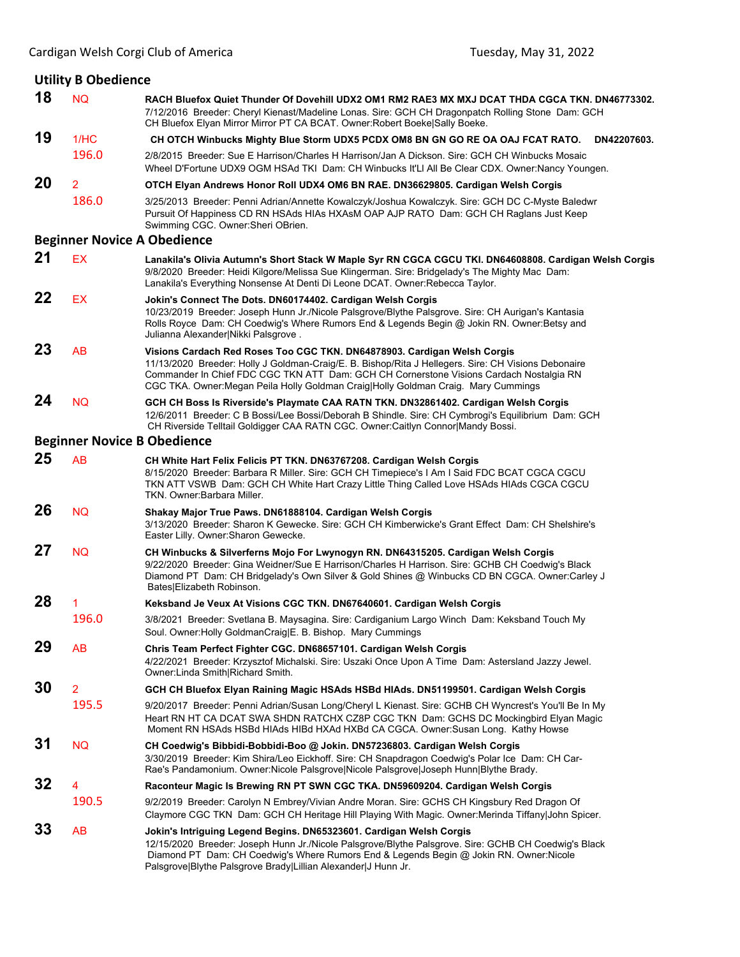| <b>Utility B Obedience</b>         |                |                                                                                                                                                                                                                                                                                                                                                                  |  |  |
|------------------------------------|----------------|------------------------------------------------------------------------------------------------------------------------------------------------------------------------------------------------------------------------------------------------------------------------------------------------------------------------------------------------------------------|--|--|
| 18                                 | <b>NQ</b>      | RACH Bluefox Quiet Thunder Of Dovehill UDX2 OM1 RM2 RAE3 MX MXJ DCAT THDA CGCA TKN. DN46773302.<br>7/12/2016 Breeder: Cheryl Kienast/Madeline Lonas. Sire: GCH CH Dragonpatch Rolling Stone Dam: GCH<br>CH Bluefox Elyan Mirror Mirror PT CA BCAT. Owner: Robert Boeke Sally Boeke.                                                                              |  |  |
| 19                                 | 1/HC           | DN42207603.<br>CH OTCH Winbucks Mighty Blue Storm UDX5 PCDX OM8 BN GN GO RE OA OAJ FCAT RATO.                                                                                                                                                                                                                                                                    |  |  |
|                                    | 196.0          | 2/8/2015 Breeder: Sue E Harrison/Charles H Harrison/Jan A Dickson. Sire: GCH CH Winbucks Mosaic<br>Wheel D'Fortune UDX9 OGM HSAd TKI Dam: CH Winbucks It'LI All Be Clear CDX. Owner:Nancy Youngen.                                                                                                                                                               |  |  |
| 20                                 | 2              | OTCH Elyan Andrews Honor Roll UDX4 OM6 BN RAE. DN36629805. Cardigan Welsh Corgis                                                                                                                                                                                                                                                                                 |  |  |
|                                    | 186.0          | 3/25/2013  Breeder: Penni Adrian/Annette Kowalczyk/Joshua Kowalczyk. Sire: GCH DC C-Myste Baledwr<br>Pursuit Of Happiness CD RN HSAds HIAs HXAsM OAP AJP RATO Dam: GCH CH Raglans Just Keep<br>Swimming CGC. Owner: Sheri OBrien.                                                                                                                                |  |  |
| <b>Beginner Novice A Obedience</b> |                |                                                                                                                                                                                                                                                                                                                                                                  |  |  |
| 21                                 | <b>EX</b>      | Lanakila's Olivia Autumn's Short Stack W Maple Syr RN CGCA CGCU TKI. DN64608808. Cardigan Welsh Corgis<br>9/8/2020 Breeder: Heidi Kilgore/Melissa Sue Klingerman. Sire: Bridgelady's The Mighty Mac Dam:<br>Lanakila's Everything Nonsense At Denti Di Leone DCAT. Owner: Rebecca Taylor.                                                                        |  |  |
| 22                                 | EX             | Jokin's Connect The Dots. DN60174402. Cardigan Welsh Corgis<br>10/23/2019 Breeder: Joseph Hunn Jr./Nicole Palsgrove/Blythe Palsgrove. Sire: CH Aurigan's Kantasia<br>Rolls Royce Dam: CH Coedwig's Where Rumors End & Legends Begin @ Jokin RN. Owner: Betsy and<br>Julianna Alexander Nikki Palsgrove.                                                          |  |  |
| 23                                 | AB             | Visions Cardach Red Roses Too CGC TKN. DN64878903. Cardigan Welsh Corgis<br>11/13/2020 Breeder: Holly J Goldman-Craig/E. B. Bishop/Rita J Hellegers. Sire: CH Visions Debonaire<br>Commander In Chief FDC CGC TKN ATT Dam: GCH CH Cornerstone Visions Cardach Nostalgia RN<br>CGC TKA. Owner: Megan Peila Holly Goldman Craig Holly Goldman Craig. Mary Cummings |  |  |
| 24                                 | <b>NQ</b>      | GCH CH Boss Is Riverside's Playmate CAA RATN TKN. DN32861402. Cardigan Welsh Corgis<br>12/6/2011 Breeder: C B Bossi/Lee Bossi/Deborah B Shindle. Sire: CH Cymbrogi's Equilibrium Dam: GCH<br>CH Riverside Telltail Goldigger CAA RATN CGC. Owner:Caitlyn Connor Mandy Bossi.                                                                                     |  |  |
|                                    |                | <b>Beginner Novice B Obedience</b>                                                                                                                                                                                                                                                                                                                               |  |  |
| 25                                 | AB             | CH White Hart Felix Felicis PT TKN. DN63767208. Cardigan Welsh Corgis<br>8/15/2020 Breeder: Barbara R Miller. Sire: GCH CH Timepiece's I Am I Said FDC BCAT CGCA CGCU<br>TKN ATT VSWB Dam: GCH CH White Hart Crazy Little Thing Called Love HSAds HIAds CGCA CGCU<br>TKN. Owner:Barbara Miller.                                                                  |  |  |
| 26                                 | <b>NQ</b>      | Shakay Major True Paws. DN61888104. Cardigan Welsh Corgis<br>3/13/2020 Breeder: Sharon K Gewecke. Sire: GCH CH Kimberwicke's Grant Effect Dam: CH Shelshire's<br>Easter Lilly. Owner: Sharon Gewecke.                                                                                                                                                            |  |  |
| 27                                 | <b>NQ</b>      | CH Winbucks & Silverferns Mojo For Lwynogyn RN. DN64315205. Cardigan Welsh Corgis<br>9/22/2020 Breeder: Gina Weidner/Sue E Harrison/Charles H Harrison. Sire: GCHB CH Coedwig's Black<br>Diamond PT Dam: CH Bridgelady's Own Silver & Gold Shines @ Winbucks CD BN CGCA. Owner:Carley J<br>Bates Elizabeth Robinson.                                             |  |  |
| 28                                 | 1              | Keksband Je Veux At Visions CGC TKN. DN67640601. Cardigan Welsh Corgis                                                                                                                                                                                                                                                                                           |  |  |
|                                    | 196.0          | 3/8/2021 Breeder: Svetlana B. Maysagina. Sire: Cardiganium Largo Winch Dam: Keksband Touch My<br>Soul. Owner: Holly GoldmanCraig [E. B. Bishop. Mary Cummings                                                                                                                                                                                                    |  |  |
| 29                                 | <b>AB</b>      | Chris Team Perfect Fighter CGC. DN68657101. Cardigan Welsh Corgis<br>4/22/2021 Breeder: Krzysztof Michalski. Sire: Uszaki Once Upon A Time Dam: Astersland Jazzy Jewel.<br>Owner: Linda Smith Richard Smith.                                                                                                                                                     |  |  |
| 30                                 | $\overline{2}$ | GCH CH Bluefox Elyan Raining Magic HSAds HSBd HIAds. DN51199501. Cardigan Welsh Corgis                                                                                                                                                                                                                                                                           |  |  |
|                                    | 195.5          | 9/20/2017 Breeder: Penni Adrian/Susan Long/Cheryl L Kienast. Sire: GCHB CH Wyncrest's You'll Be In My<br>Heart RN HT CA DCAT SWA SHDN RATCHX CZ8P CGC TKN Dam: GCHS DC Mockingbird Elyan Magic<br>Moment RN HSAds HSBd HIAds HIBd HXAd HXBd CA CGCA. Owner: Susan Long. Kathy Howse                                                                              |  |  |
| 31                                 | <b>NQ</b>      | CH Coedwig's Bibbidi-Bobbidi-Boo @ Jokin. DN57236803. Cardigan Welsh Corgis<br>3/30/2019 Breeder: Kim Shira/Leo Eickhoff. Sire: CH Snapdragon Coedwig's Polar Ice Dam: CH Car-<br>Rae's Pandamonium. Owner:Nicole Palsgrove Nicole Palsgrove Joseph Hunn Blythe Brady.                                                                                           |  |  |
| 32                                 | 4              | Raconteur Magic Is Brewing RN PT SWN CGC TKA. DN59609204. Cardigan Welsh Corgis                                                                                                                                                                                                                                                                                  |  |  |
|                                    | 190.5          | 9/2/2019 Breeder: Carolyn N Embrey/Vivian Andre Moran. Sire: GCHS CH Kingsbury Red Dragon Of<br>Claymore CGC TKN Dam: GCH CH Heritage Hill Playing With Magic. Owner: Merinda Tiffany John Spicer.                                                                                                                                                               |  |  |
| 33                                 | AB             | Jokin's Intriguing Legend Begins. DN65323601. Cardigan Welsh Corgis<br>12/15/2020 Breeder: Joseph Hunn Jr./Nicole Palsgrove/Blythe Palsgrove. Sire: GCHB CH Coedwig's Black<br>Diamond PT Dam: CH Coedwig's Where Rumors End & Legends Begin @ Jokin RN. Owner: Nicole<br>Palsgrove Blythe Palsgrove Brady Lillian Alexander J Hunn Jr.                          |  |  |